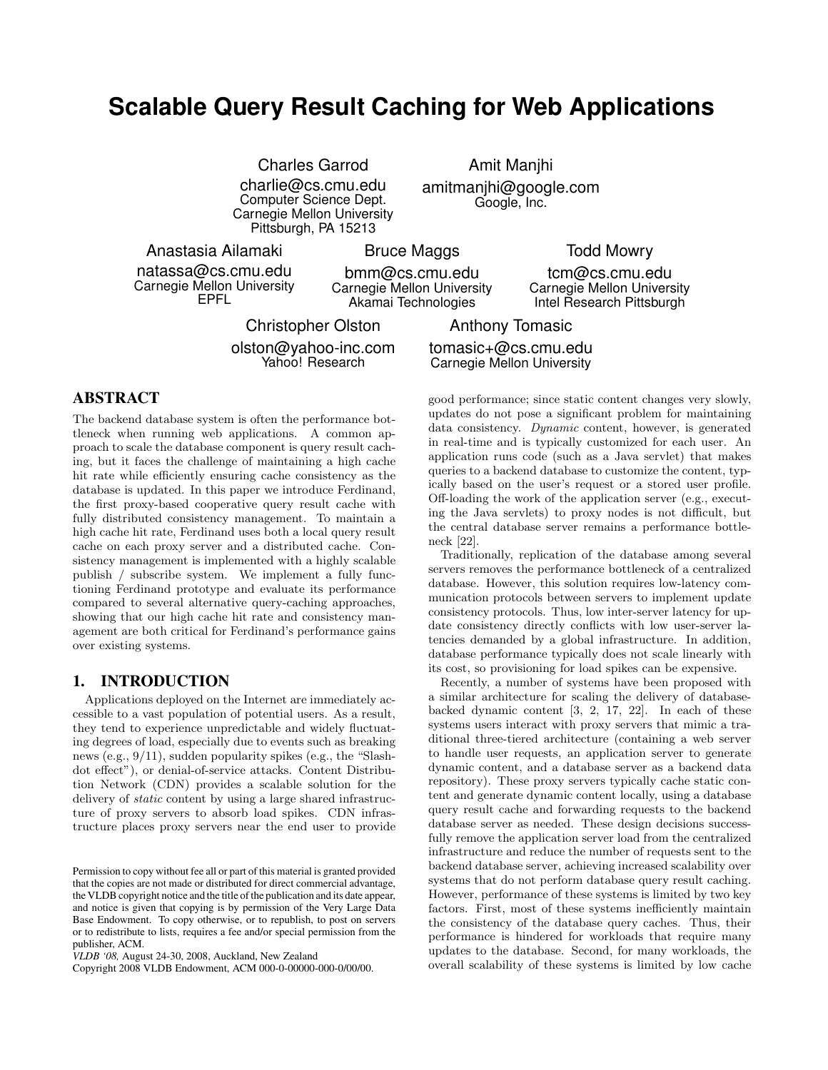# **Scalable Query Result Caching for Web Applications**

Charles Garrod charlie@cs.cmu.edu Computer Science Dept. Carnegie Mellon University Pittsburgh, PA 15213

Amit Manjhi amitmanjhi@google.com Google, Inc.

Anastasia Ailamaki natassa@cs.cmu.edu Carnegie Mellon University EPFL

Bruce Maggs

bmm@cs.cmu.edu Carnegie Mellon University Akamai Technologies

Christopher Olston olston@yahoo-inc.com Yahoo! Research

Anthony Tomasic tomasic+@cs.cmu.edu Carnegie Mellon University

# **ABSTRACT**

The backend database system is often the performance bottleneck when running web applications. A common approach to scale the database component is query result caching, but it faces the challenge of maintaining a high cache hit rate while efficiently ensuring cache consistency as the database is updated. In this paper we introduce Ferdinand, the first proxy-based cooperative query result cache with fully distributed consistency management. To maintain a high cache hit rate, Ferdinand uses both a local query result cache on each proxy server and a distributed cache. Consistency management is implemented with a highly scalable publish / subscribe system. We implement a fully functioning Ferdinand prototype and evaluate its performance compared to several alternative query-caching approaches, showing that our high cache hit rate and consistency management are both critical for Ferdinand's performance gains over existing systems.

#### **1. INTRODUCTION**

Applications deployed on the Internet are immediately accessible to a vast population of potential users. As a result, they tend to experience unpredictable and widely fluctuating degrees of load, especially due to events such as breaking news (e.g., 9/11), sudden popularity spikes (e.g., the "Slashdot effect"), or denial-of-service attacks. Content Distribution Network (CDN) provides a scalable solution for the delivery of static content by using a large shared infrastructure of proxy servers to absorb load spikes. CDN infrastructure places proxy servers near the end user to provide

Copyright 2008 VLDB Endowment, ACM 000-0-00000-000-0/00/00.

good performance; since static content changes very slowly, updates do not pose a significant problem for maintaining data consistency. Dynamic content, however, is generated in real-time and is typically customized for each user. An application runs code (such as a Java servlet) that makes queries to a backend database to customize the content, typically based on the user's request or a stored user profile. Off-loading the work of the application server (e.g., executing the Java servlets) to proxy nodes is not difficult, but the central database server remains a performance bottleneck [22].

Traditionally, replication of the database among several servers removes the performance bottleneck of a centralized database. However, this solution requires low-latency communication protocols between servers to implement update consistency protocols. Thus, low inter-server latency for update consistency directly conflicts with low user-server latencies demanded by a global infrastructure. In addition, database performance typically does not scale linearly with its cost, so provisioning for load spikes can be expensive.

Recently, a number of systems have been proposed with a similar architecture for scaling the delivery of databasebacked dynamic content [3, 2, 17, 22]. In each of these systems users interact with proxy servers that mimic a traditional three-tiered architecture (containing a web server to handle user requests, an application server to generate dynamic content, and a database server as a backend data repository). These proxy servers typically cache static content and generate dynamic content locally, using a database query result cache and forwarding requests to the backend database server as needed. These design decisions successfully remove the application server load from the centralized infrastructure and reduce the number of requests sent to the backend database server, achieving increased scalability over systems that do not perform database query result caching. However, performance of these systems is limited by two key factors. First, most of these systems inefficiently maintain the consistency of the database query caches. Thus, their performance is hindered for workloads that require many updates to the database. Second, for many workloads, the overall scalability of these systems is limited by low cache

Todd Mowry

tcm@cs.cmu.edu Carnegie Mellon University Intel Research Pittsburgh

Permission to copy without fee all or part of this material is granted provided that the copies are not made or distributed for direct commercial advantage, the VLDB copyright notice and the title of the publication and its date appear, and notice is given that copying is by permission of the Very Large Data Base Endowment. To copy otherwise, or to republish, to post on servers or to redistribute to lists, requires a fee and/or special permission from the publisher, ACM.

*VLDB '08,* August 24-30, 2008, Auckland, New Zealand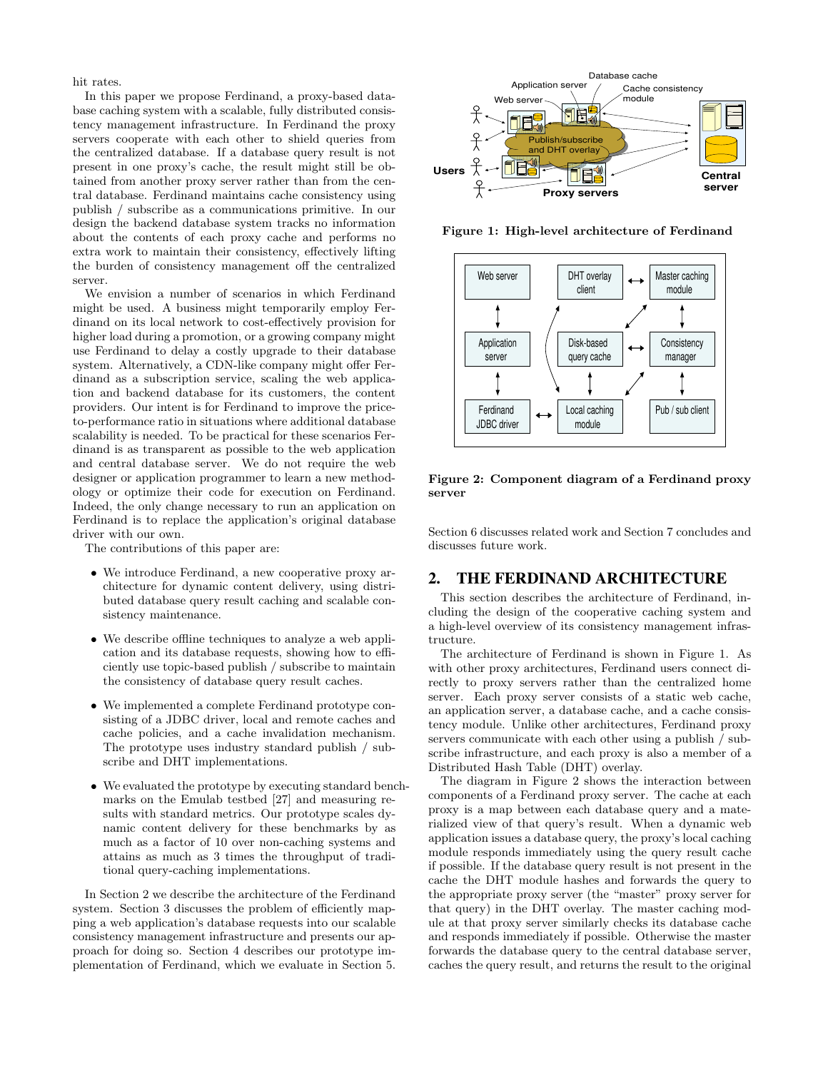hit rates.

In this paper we propose Ferdinand, a proxy-based database caching system with a scalable, fully distributed consistency management infrastructure. In Ferdinand the proxy servers cooperate with each other to shield queries from the centralized database. If a database query result is not present in one proxy's cache, the result might still be obtained from another proxy server rather than from the central database. Ferdinand maintains cache consistency using publish / subscribe as a communications primitive. In our design the backend database system tracks no information about the contents of each proxy cache and performs no extra work to maintain their consistency, effectively lifting the burden of consistency management off the centralized server.

We envision a number of scenarios in which Ferdinand might be used. A business might temporarily employ Ferdinand on its local network to cost-effectively provision for higher load during a promotion, or a growing company might use Ferdinand to delay a costly upgrade to their database system. Alternatively, a CDN-like company might offer Ferdinand as a subscription service, scaling the web application and backend database for its customers, the content providers. Our intent is for Ferdinand to improve the priceto-performance ratio in situations where additional database scalability is needed. To be practical for these scenarios Ferdinand is as transparent as possible to the web application and central database server. We do not require the web designer or application programmer to learn a new methodology or optimize their code for execution on Ferdinand. Indeed, the only change necessary to run an application on Ferdinand is to replace the application's original database driver with our own.

The contributions of this paper are:

- We introduce Ferdinand, a new cooperative proxy architecture for dynamic content delivery, using distributed database query result caching and scalable consistency maintenance.
- We describe offline techniques to analyze a web application and its database requests, showing how to efficiently use topic-based publish / subscribe to maintain the consistency of database query result caches.
- We implemented a complete Ferdinand prototype consisting of a JDBC driver, local and remote caches and cache policies, and a cache invalidation mechanism. The prototype uses industry standard publish / subscribe and DHT implementations.
- We evaluated the prototype by executing standard benchmarks on the Emulab testbed [27] and measuring results with standard metrics. Our prototype scales dynamic content delivery for these benchmarks by as much as a factor of 10 over non-caching systems and attains as much as 3 times the throughput of traditional query-caching implementations.

In Section 2 we describe the architecture of the Ferdinand system. Section 3 discusses the problem of efficiently mapping a web application's database requests into our scalable consistency management infrastructure and presents our approach for doing so. Section 4 describes our prototype implementation of Ferdinand, which we evaluate in Section 5.



Figure 1: High-level architecture of Ferdinand



Figure 2: Component diagram of a Ferdinand proxy server

Section 6 discusses related work and Section 7 concludes and discusses future work.

# **2. THE FERDINAND ARCHITECTURE**

This section describes the architecture of Ferdinand, including the design of the cooperative caching system and a high-level overview of its consistency management infrastructure.

The architecture of Ferdinand is shown in Figure 1. As with other proxy architectures, Ferdinand users connect directly to proxy servers rather than the centralized home server. Each proxy server consists of a static web cache, an application server, a database cache, and a cache consistency module. Unlike other architectures, Ferdinand proxy servers communicate with each other using a publish / subscribe infrastructure, and each proxy is also a member of a Distributed Hash Table (DHT) overlay.

The diagram in Figure 2 shows the interaction between components of a Ferdinand proxy server. The cache at each proxy is a map between each database query and a materialized view of that query's result. When a dynamic web application issues a database query, the proxy's local caching module responds immediately using the query result cache if possible. If the database query result is not present in the cache the DHT module hashes and forwards the query to the appropriate proxy server (the "master" proxy server for that query) in the DHT overlay. The master caching module at that proxy server similarly checks its database cache and responds immediately if possible. Otherwise the master forwards the database query to the central database server, caches the query result, and returns the result to the original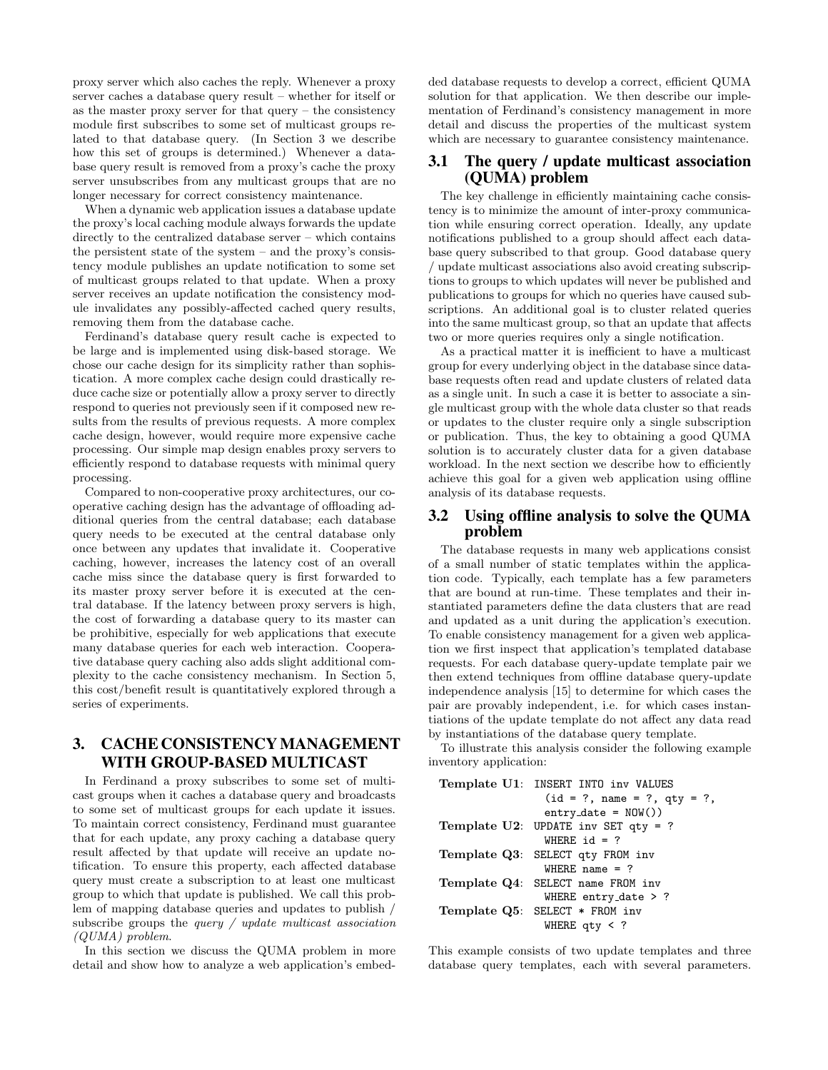proxy server which also caches the reply. Whenever a proxy server caches a database query result – whether for itself or as the master proxy server for that query – the consistency module first subscribes to some set of multicast groups related to that database query. (In Section 3 we describe how this set of groups is determined.) Whenever a database query result is removed from a proxy's cache the proxy server unsubscribes from any multicast groups that are no longer necessary for correct consistency maintenance.

When a dynamic web application issues a database update the proxy's local caching module always forwards the update directly to the centralized database server – which contains the persistent state of the system – and the proxy's consistency module publishes an update notification to some set of multicast groups related to that update. When a proxy server receives an update notification the consistency module invalidates any possibly-affected cached query results, removing them from the database cache.

Ferdinand's database query result cache is expected to be large and is implemented using disk-based storage. We chose our cache design for its simplicity rather than sophistication. A more complex cache design could drastically reduce cache size or potentially allow a proxy server to directly respond to queries not previously seen if it composed new results from the results of previous requests. A more complex cache design, however, would require more expensive cache processing. Our simple map design enables proxy servers to efficiently respond to database requests with minimal query processing.

Compared to non-cooperative proxy architectures, our cooperative caching design has the advantage of offloading additional queries from the central database; each database query needs to be executed at the central database only once between any updates that invalidate it. Cooperative caching, however, increases the latency cost of an overall cache miss since the database query is first forwarded to its master proxy server before it is executed at the central database. If the latency between proxy servers is high, the cost of forwarding a database query to its master can be prohibitive, especially for web applications that execute many database queries for each web interaction. Cooperative database query caching also adds slight additional complexity to the cache consistency mechanism. In Section 5, this cost/benefit result is quantitatively explored through a series of experiments.

# **3. CACHE CONSISTENCYMANAGEMENT WITH GROUP-BASED MULTICAST**

In Ferdinand a proxy subscribes to some set of multicast groups when it caches a database query and broadcasts to some set of multicast groups for each update it issues. To maintain correct consistency, Ferdinand must guarantee that for each update, any proxy caching a database query result affected by that update will receive an update notification. To ensure this property, each affected database query must create a subscription to at least one multicast group to which that update is published. We call this problem of mapping database queries and updates to publish / subscribe groups the *query*  $\ell$  *update multicast association* (QUMA) problem.

In this section we discuss the QUMA problem in more detail and show how to analyze a web application's embedded database requests to develop a correct, efficient QUMA solution for that application. We then describe our implementation of Ferdinand's consistency management in more detail and discuss the properties of the multicast system which are necessary to guarantee consistency maintenance.

#### **3.1 The query / update multicast association (QUMA) problem**

The key challenge in efficiently maintaining cache consistency is to minimize the amount of inter-proxy communication while ensuring correct operation. Ideally, any update notifications published to a group should affect each database query subscribed to that group. Good database query / update multicast associations also avoid creating subscriptions to groups to which updates will never be published and publications to groups for which no queries have caused subscriptions. An additional goal is to cluster related queries into the same multicast group, so that an update that affects two or more queries requires only a single notification.

As a practical matter it is inefficient to have a multicast group for every underlying object in the database since database requests often read and update clusters of related data as a single unit. In such a case it is better to associate a single multicast group with the whole data cluster so that reads or updates to the cluster require only a single subscription or publication. Thus, the key to obtaining a good QUMA solution is to accurately cluster data for a given database workload. In the next section we describe how to efficiently achieve this goal for a given web application using offline analysis of its database requests.

#### **3.2 Using offline analysis to solve the QUMA problem**

The database requests in many web applications consist of a small number of static templates within the application code. Typically, each template has a few parameters that are bound at run-time. These templates and their instantiated parameters define the data clusters that are read and updated as a unit during the application's execution. To enable consistency management for a given web application we first inspect that application's templated database requests. For each database query-update template pair we then extend techniques from offline database query-update independence analysis [15] to determine for which cases the pair are provably independent, i.e. for which cases instantiations of the update template do not affect any data read by instantiations of the database query template.

To illustrate this analysis consider the following example inventory application:

|                  | Template U1: INSERT INTO inv VALUES |  |  |
|------------------|-------------------------------------|--|--|
|                  | $(id = ?, name = ?, qty = ?,$       |  |  |
|                  | $entry\_date = NOW()$               |  |  |
|                  | Template U2: UPDATE inv SET qty = ? |  |  |
| WHERE $id = ?$   |                                     |  |  |
|                  | Template Q3: SELECT qty FROM inv    |  |  |
| WHERE name $= ?$ |                                     |  |  |
|                  | Template Q4: SELECT name FROM inv   |  |  |
|                  | WHERE entry_date $> ?$              |  |  |
|                  | Template $Q5$ : SELECT $*$ FROM inv |  |  |
|                  | WHERE $qty < ?$                     |  |  |

This example consists of two update templates and three database query templates, each with several parameters.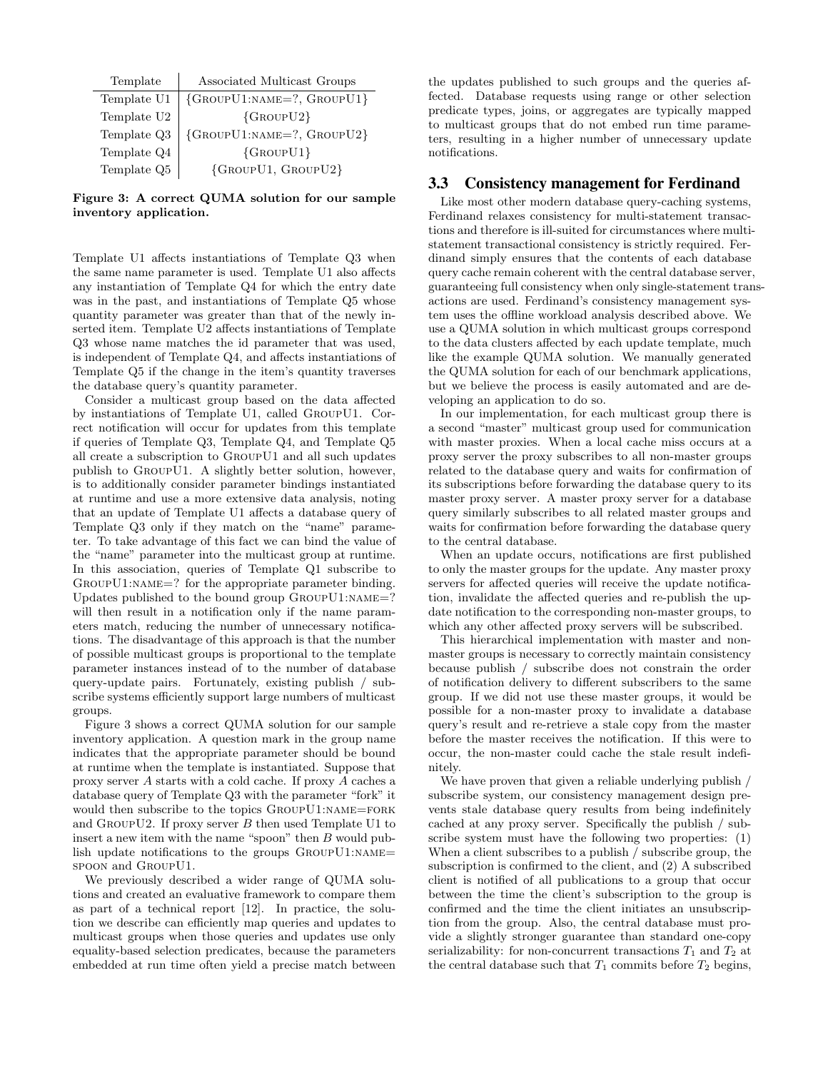| Template    | Associated Multicast Groups                       |  |
|-------------|---------------------------------------------------|--|
| Template U1 | $\{GroupU1:NAME=?, GroupU1\}$                     |  |
| Template U2 | $\{GroupU2\}$                                     |  |
| Template Q3 | ${G_{\text{ROUPU1:NAME=}}$ ?, $G_{\text{ROUPU2}}$ |  |
| Template Q4 | $\{GroupU1\}$                                     |  |
| Template Q5 | {GROUPU1, GROUPU2}                                |  |

Figure 3: A correct QUMA solution for our sample inventory application.

Template U1 affects instantiations of Template Q3 when the same name parameter is used. Template U1 also affects any instantiation of Template Q4 for which the entry date was in the past, and instantiations of Template Q5 whose quantity parameter was greater than that of the newly inserted item. Template U2 affects instantiations of Template Q3 whose name matches the id parameter that was used, is independent of Template Q4, and affects instantiations of Template Q5 if the change in the item's quantity traverses the database query's quantity parameter.

Consider a multicast group based on the data affected by instantiations of Template U1, called GroupU1. Correct notification will occur for updates from this template if queries of Template Q3, Template Q4, and Template Q5 all create a subscription to GroupU1 and all such updates publish to GroupU1. A slightly better solution, however, is to additionally consider parameter bindings instantiated at runtime and use a more extensive data analysis, noting that an update of Template U1 affects a database query of Template Q3 only if they match on the "name" parameter. To take advantage of this fact we can bind the value of the "name" parameter into the multicast group at runtime. In this association, queries of Template Q1 subscribe to GROUPU1:NAME=? for the appropriate parameter binding. Updates published to the bound group  $G_{\text{ROUP}}U1:\text{NAME}=?$ will then result in a notification only if the name parameters match, reducing the number of unnecessary notifications. The disadvantage of this approach is that the number of possible multicast groups is proportional to the template parameter instances instead of to the number of database query-update pairs. Fortunately, existing publish / subscribe systems efficiently support large numbers of multicast groups.

Figure 3 shows a correct QUMA solution for our sample inventory application. A question mark in the group name indicates that the appropriate parameter should be bound at runtime when the template is instantiated. Suppose that proxy server A starts with a cold cache. If proxy A caches a database query of Template Q3 with the parameter "fork" it would then subscribe to the topics GROUPU1:NAME=FORK and GROUPU2. If proxy server  $B$  then used Template U1 to insert a new item with the name "spoon" then  $B$  would publish update notifications to the groups GroupU1:name= spoon and GroupU1.

We previously described a wider range of QUMA solutions and created an evaluative framework to compare them as part of a technical report [12]. In practice, the solution we describe can efficiently map queries and updates to multicast groups when those queries and updates use only equality-based selection predicates, because the parameters embedded at run time often yield a precise match between the updates published to such groups and the queries affected. Database requests using range or other selection predicate types, joins, or aggregates are typically mapped to multicast groups that do not embed run time parameters, resulting in a higher number of unnecessary update notifications.

#### **3.3 Consistency management for Ferdinand**

Like most other modern database query-caching systems, Ferdinand relaxes consistency for multi-statement transactions and therefore is ill-suited for circumstances where multistatement transactional consistency is strictly required. Ferdinand simply ensures that the contents of each database query cache remain coherent with the central database server, guaranteeing full consistency when only single-statement transactions are used. Ferdinand's consistency management system uses the offline workload analysis described above. We use a QUMA solution in which multicast groups correspond to the data clusters affected by each update template, much like the example QUMA solution. We manually generated the QUMA solution for each of our benchmark applications, but we believe the process is easily automated and are developing an application to do so.

In our implementation, for each multicast group there is a second "master" multicast group used for communication with master proxies. When a local cache miss occurs at a proxy server the proxy subscribes to all non-master groups related to the database query and waits for confirmation of its subscriptions before forwarding the database query to its master proxy server. A master proxy server for a database query similarly subscribes to all related master groups and waits for confirmation before forwarding the database query to the central database.

When an update occurs, notifications are first published to only the master groups for the update. Any master proxy servers for affected queries will receive the update notification, invalidate the affected queries and re-publish the update notification to the corresponding non-master groups, to which any other affected proxy servers will be subscribed.

This hierarchical implementation with master and nonmaster groups is necessary to correctly maintain consistency because publish / subscribe does not constrain the order of notification delivery to different subscribers to the same group. If we did not use these master groups, it would be possible for a non-master proxy to invalidate a database query's result and re-retrieve a stale copy from the master before the master receives the notification. If this were to occur, the non-master could cache the stale result indefinitely.

We have proven that given a reliable underlying publish / subscribe system, our consistency management design prevents stale database query results from being indefinitely cached at any proxy server. Specifically the publish / subscribe system must have the following two properties: (1) When a client subscribes to a publish / subscribe group, the subscription is confirmed to the client, and (2) A subscribed client is notified of all publications to a group that occur between the time the client's subscription to the group is confirmed and the time the client initiates an unsubscription from the group. Also, the central database must provide a slightly stronger guarantee than standard one-copy serializability: for non-concurrent transactions  $T_1$  and  $T_2$  at the central database such that  $T_1$  commits before  $T_2$  begins,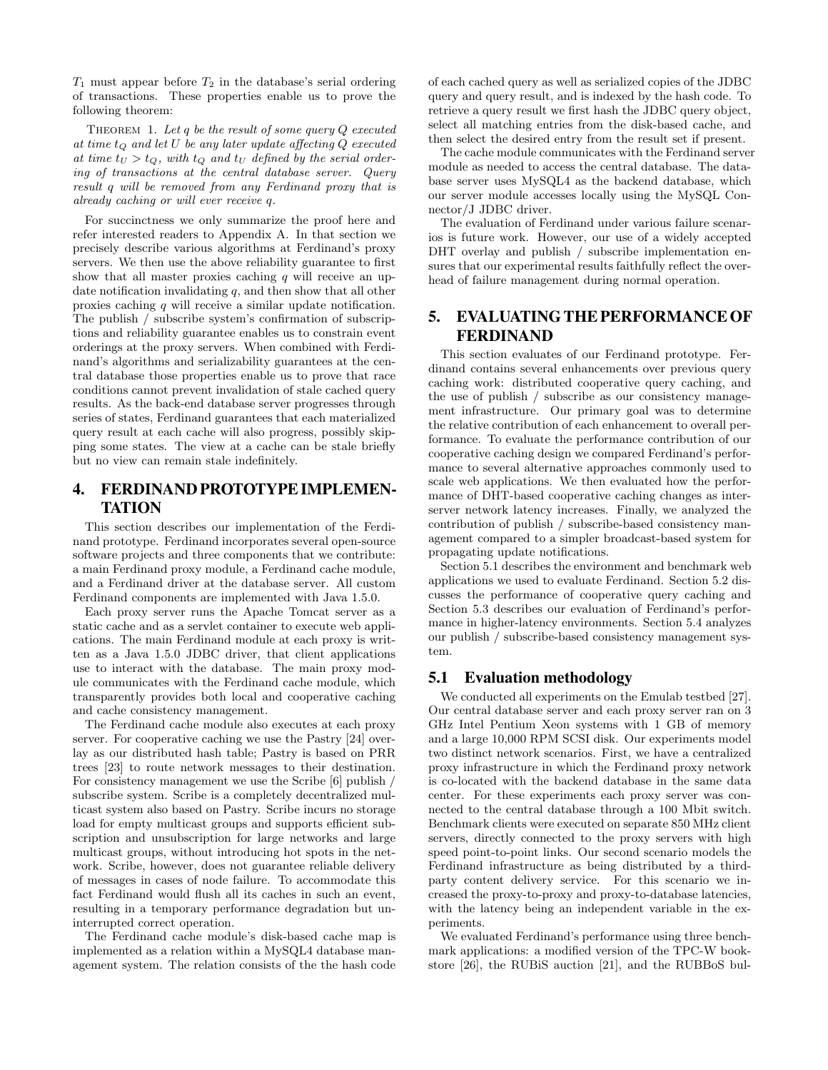$T_1$  must appear before  $T_2$  in the database's serial ordering of transactions. These properties enable us to prove the following theorem:

THEOREM 1. Let  $q$  be the result of some query  $Q$  executed at time  $t_Q$  and let  $U$  be any later update affecting  $Q$  executed at time  $t_U > t_Q$ , with  $t_Q$  and  $t_U$  defined by the serial ordering of transactions at the central database server. Query result q will be removed from any Ferdinand proxy that is already caching or will ever receive q.

For succinctness we only summarize the proof here and refer interested readers to Appendix A. In that section we precisely describe various algorithms at Ferdinand's proxy servers. We then use the above reliability guarantee to first show that all master proxies caching  $q$  will receive an update notification invalidating  $q$ , and then show that all other proxies caching q will receive a similar update notification. The publish / subscribe system's confirmation of subscriptions and reliability guarantee enables us to constrain event orderings at the proxy servers. When combined with Ferdinand's algorithms and serializability guarantees at the central database those properties enable us to prove that race conditions cannot prevent invalidation of stale cached query results. As the back-end database server progresses through series of states, Ferdinand guarantees that each materialized query result at each cache will also progress, possibly skipping some states. The view at a cache can be stale briefly but no view can remain stale indefinitely.

# **4. FERDINAND PROTOTYPEIMPLEMEN-TATION**

This section describes our implementation of the Ferdinand prototype. Ferdinand incorporates several open-source software projects and three components that we contribute: a main Ferdinand proxy module, a Ferdinand cache module, and a Ferdinand driver at the database server. All custom Ferdinand components are implemented with Java 1.5.0.

Each proxy server runs the Apache Tomcat server as a static cache and as a servlet container to execute web applications. The main Ferdinand module at each proxy is written as a Java 1.5.0 JDBC driver, that client applications use to interact with the database. The main proxy module communicates with the Ferdinand cache module, which transparently provides both local and cooperative caching and cache consistency management.

The Ferdinand cache module also executes at each proxy server. For cooperative caching we use the Pastry [24] overlay as our distributed hash table; Pastry is based on PRR trees [23] to route network messages to their destination. For consistency management we use the Scribe [6] publish / subscribe system. Scribe is a completely decentralized multicast system also based on Pastry. Scribe incurs no storage load for empty multicast groups and supports efficient subscription and unsubscription for large networks and large multicast groups, without introducing hot spots in the network. Scribe, however, does not guarantee reliable delivery of messages in cases of node failure. To accommodate this fact Ferdinand would flush all its caches in such an event, resulting in a temporary performance degradation but uninterrupted correct operation.

The Ferdinand cache module's disk-based cache map is implemented as a relation within a MySQL4 database management system. The relation consists of the the hash code of each cached query as well as serialized copies of the JDBC query and query result, and is indexed by the hash code. To retrieve a query result we first hash the JDBC query object, select all matching entries from the disk-based cache, and then select the desired entry from the result set if present.

The cache module communicates with the Ferdinand server module as needed to access the central database. The database server uses MySQL4 as the backend database, which our server module accesses locally using the MySQL Connector/J JDBC driver.

The evaluation of Ferdinand under various failure scenarios is future work. However, our use of a widely accepted DHT overlay and publish / subscribe implementation ensures that our experimental results faithfully reflect the overhead of failure management during normal operation.

## **5. EVALUATINGTHEPERFORMANCEOF FERDINAND**

This section evaluates of our Ferdinand prototype. Ferdinand contains several enhancements over previous query caching work: distributed cooperative query caching, and the use of publish / subscribe as our consistency management infrastructure. Our primary goal was to determine the relative contribution of each enhancement to overall performance. To evaluate the performance contribution of our cooperative caching design we compared Ferdinand's performance to several alternative approaches commonly used to scale web applications. We then evaluated how the performance of DHT-based cooperative caching changes as interserver network latency increases. Finally, we analyzed the contribution of publish / subscribe-based consistency management compared to a simpler broadcast-based system for propagating update notifications.

Section 5.1 describes the environment and benchmark web applications we used to evaluate Ferdinand. Section 5.2 discusses the performance of cooperative query caching and Section 5.3 describes our evaluation of Ferdinand's performance in higher-latency environments. Section 5.4 analyzes our publish / subscribe-based consistency management system.

#### **5.1 Evaluation methodology**

We conducted all experiments on the Emulab testbed [27]. Our central database server and each proxy server ran on 3 GHz Intel Pentium Xeon systems with 1 GB of memory and a large 10,000 RPM SCSI disk. Our experiments model two distinct network scenarios. First, we have a centralized proxy infrastructure in which the Ferdinand proxy network is co-located with the backend database in the same data center. For these experiments each proxy server was connected to the central database through a 100 Mbit switch. Benchmark clients were executed on separate 850 MHz client servers, directly connected to the proxy servers with high speed point-to-point links. Our second scenario models the Ferdinand infrastructure as being distributed by a thirdparty content delivery service. For this scenario we increased the proxy-to-proxy and proxy-to-database latencies, with the latency being an independent variable in the experiments.

We evaluated Ferdinand's performance using three benchmark applications: a modified version of the TPC-W bookstore [26], the RUBiS auction [21], and the RUBBoS bul-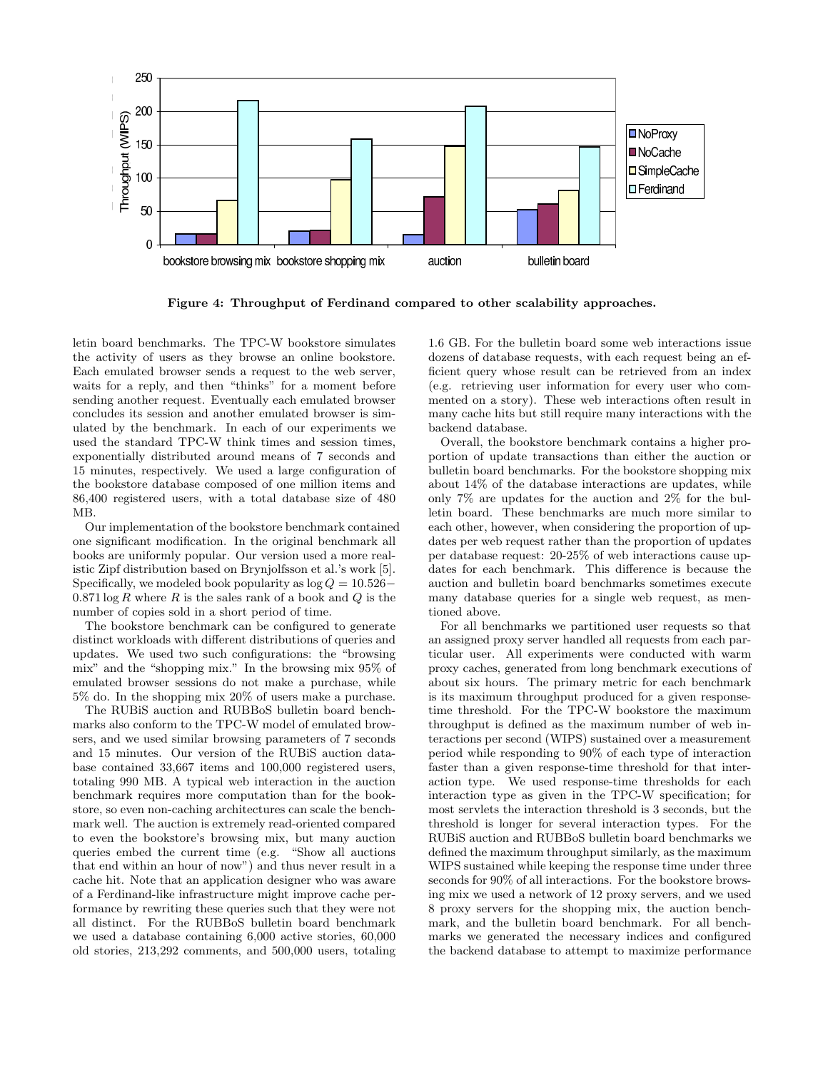

Figure 4: Throughput of Ferdinand compared to other scalability approaches.

letin board benchmarks. The TPC-W bookstore simulates the activity of users as they browse an online bookstore. Each emulated browser sends a request to the web server, waits for a reply, and then "thinks" for a moment before sending another request. Eventually each emulated browser concludes its session and another emulated browser is simulated by the benchmark. In each of our experiments we used the standard TPC-W think times and session times, exponentially distributed around means of 7 seconds and 15 minutes, respectively. We used a large configuration of the bookstore database composed of one million items and 86,400 registered users, with a total database size of 480 MB.

Our implementation of the bookstore benchmark contained one significant modification. In the original benchmark all books are uniformly popular. Our version used a more realistic Zipf distribution based on Brynjolfsson et al.'s work [5]. Specifically, we modeled book popularity as  $log Q = 10.526$ −  $0.871 \log R$  where R is the sales rank of a book and Q is the number of copies sold in a short period of time.

The bookstore benchmark can be configured to generate distinct workloads with different distributions of queries and updates. We used two such configurations: the "browsing mix" and the "shopping mix." In the browsing mix 95% of emulated browser sessions do not make a purchase, while 5% do. In the shopping mix 20% of users make a purchase.

The RUBiS auction and RUBBoS bulletin board benchmarks also conform to the TPC-W model of emulated browsers, and we used similar browsing parameters of 7 seconds and 15 minutes. Our version of the RUBiS auction database contained 33,667 items and 100,000 registered users, totaling 990 MB. A typical web interaction in the auction benchmark requires more computation than for the bookstore, so even non-caching architectures can scale the benchmark well. The auction is extremely read-oriented compared to even the bookstore's browsing mix, but many auction queries embed the current time (e.g. "Show all auctions that end within an hour of now") and thus never result in a cache hit. Note that an application designer who was aware of a Ferdinand-like infrastructure might improve cache performance by rewriting these queries such that they were not all distinct. For the RUBBoS bulletin board benchmark we used a database containing 6,000 active stories, 60,000 old stories, 213,292 comments, and 500,000 users, totaling 1.6 GB. For the bulletin board some web interactions issue dozens of database requests, with each request being an efficient query whose result can be retrieved from an index (e.g. retrieving user information for every user who commented on a story). These web interactions often result in many cache hits but still require many interactions with the backend database.

Overall, the bookstore benchmark contains a higher proportion of update transactions than either the auction or bulletin board benchmarks. For the bookstore shopping mix about 14% of the database interactions are updates, while only 7% are updates for the auction and 2% for the bulletin board. These benchmarks are much more similar to each other, however, when considering the proportion of updates per web request rather than the proportion of updates per database request: 20-25% of web interactions cause updates for each benchmark. This difference is because the auction and bulletin board benchmarks sometimes execute many database queries for a single web request, as mentioned above.

For all benchmarks we partitioned user requests so that an assigned proxy server handled all requests from each particular user. All experiments were conducted with warm proxy caches, generated from long benchmark executions of about six hours. The primary metric for each benchmark is its maximum throughput produced for a given responsetime threshold. For the TPC-W bookstore the maximum throughput is defined as the maximum number of web interactions per second (WIPS) sustained over a measurement period while responding to 90% of each type of interaction faster than a given response-time threshold for that interaction type. We used response-time thresholds for each interaction type as given in the TPC-W specification; for most servlets the interaction threshold is 3 seconds, but the threshold is longer for several interaction types. For the RUBiS auction and RUBBoS bulletin board benchmarks we defined the maximum throughput similarly, as the maximum WIPS sustained while keeping the response time under three seconds for 90% of all interactions. For the bookstore browsing mix we used a network of 12 proxy servers, and we used 8 proxy servers for the shopping mix, the auction benchmark, and the bulletin board benchmark. For all benchmarks we generated the necessary indices and configured the backend database to attempt to maximize performance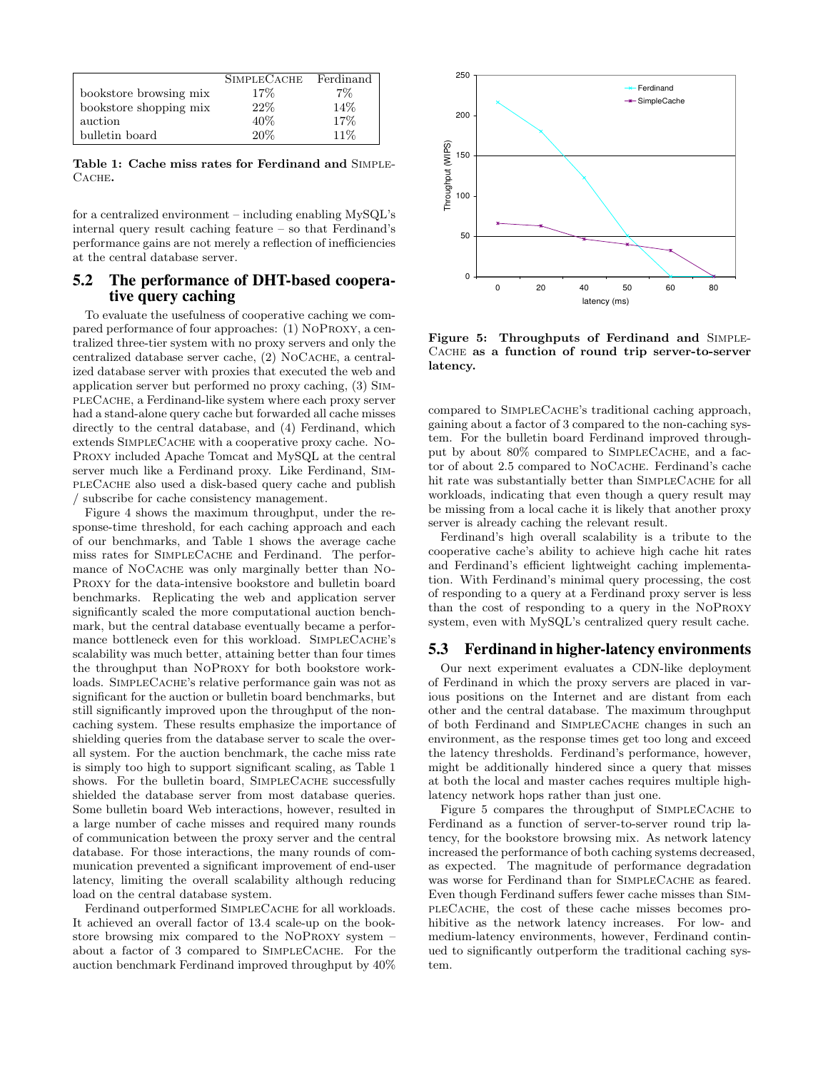|                        | <b>SIMPLECACHE</b> | Ferdinand |
|------------------------|--------------------|-----------|
| bookstore browsing mix | 17%                | $7\%$     |
| bookstore shopping mix | 22%                | 14\%      |
| auction                | 40\%               | 17%       |
| bulletin board         | 20%                | $11\%$    |

Table 1: Cache miss rates for Ferdinand and Simple- $C$ ACHE.

for a centralized environment – including enabling MySQL's internal query result caching feature – so that Ferdinand's performance gains are not merely a reflection of inefficiencies at the central database server.

#### **5.2 The performance of DHT-based cooperative query caching**

To evaluate the usefulness of cooperative caching we compared performance of four approaches: (1) NoProxy, a centralized three-tier system with no proxy servers and only the centralized database server cache, (2) NOCACHE, a centralized database server with proxies that executed the web and application server but performed no proxy caching, (3) SimpleCache, a Ferdinand-like system where each proxy server had a stand-alone query cache but forwarded all cache misses directly to the central database, and (4) Ferdinand, which extends SIMPLECACHE with a cooperative proxy cache. No-Proxy included Apache Tomcat and MySQL at the central server much like a Ferdinand proxy. Like Ferdinand, SimpleCache also used a disk-based query cache and publish / subscribe for cache consistency management.

Figure 4 shows the maximum throughput, under the response-time threshold, for each caching approach and each of our benchmarks, and Table 1 shows the average cache miss rates for SimpleCache and Ferdinand. The performance of NOCACHE was only marginally better than NO-Proxy for the data-intensive bookstore and bulletin board benchmarks. Replicating the web and application server significantly scaled the more computational auction benchmark, but the central database eventually became a performance bottleneck even for this workload. SIMPLECACHE's scalability was much better, attaining better than four times the throughput than NoProxy for both bookstore workloads. SIMPLECACHE's relative performance gain was not as significant for the auction or bulletin board benchmarks, but still significantly improved upon the throughput of the noncaching system. These results emphasize the importance of shielding queries from the database server to scale the overall system. For the auction benchmark, the cache miss rate is simply too high to support significant scaling, as Table 1 shows. For the bulletin board, SIMPLECACHE successfully shielded the database server from most database queries. Some bulletin board Web interactions, however, resulted in a large number of cache misses and required many rounds of communication between the proxy server and the central database. For those interactions, the many rounds of communication prevented a significant improvement of end-user latency, limiting the overall scalability although reducing load on the central database system.

Ferdinand outperformed SIMPLECACHE for all workloads. It achieved an overall factor of 13.4 scale-up on the bookstore browsing mix compared to the NoProxy system – about a factor of 3 compared to SimpleCache. For the auction benchmark Ferdinand improved throughput by 40%



Figure 5: Throughputs of Ferdinand and Simple-Cache as a function of round trip server-to-server latency.

compared to SIMPLECACHE's traditional caching approach, gaining about a factor of 3 compared to the non-caching system. For the bulletin board Ferdinand improved throughput by about 80% compared to SIMPLECACHE, and a factor of about 2.5 compared to NOCACHE. Ferdinand's cache hit rate was substantially better than SIMPLECACHE for all workloads, indicating that even though a query result may be missing from a local cache it is likely that another proxy server is already caching the relevant result.

Ferdinand's high overall scalability is a tribute to the cooperative cache's ability to achieve high cache hit rates and Ferdinand's efficient lightweight caching implementation. With Ferdinand's minimal query processing, the cost of responding to a query at a Ferdinand proxy server is less than the cost of responding to a query in the NoProxy system, even with MySQL's centralized query result cache.

## **5.3 Ferdinand in higher-latency environments**

Our next experiment evaluates a CDN-like deployment of Ferdinand in which the proxy servers are placed in various positions on the Internet and are distant from each other and the central database. The maximum throughput of both Ferdinand and SimpleCache changes in such an environment, as the response times get too long and exceed the latency thresholds. Ferdinand's performance, however, might be additionally hindered since a query that misses at both the local and master caches requires multiple highlatency network hops rather than just one.

Figure 5 compares the throughput of SIMPLECACHE to Ferdinand as a function of server-to-server round trip latency, for the bookstore browsing mix. As network latency increased the performance of both caching systems decreased, as expected. The magnitude of performance degradation was worse for Ferdinand than for SIMPLECACHE as feared. Even though Ferdinand suffers fewer cache misses than SimpleCache, the cost of these cache misses becomes prohibitive as the network latency increases. For low- and medium-latency environments, however, Ferdinand continued to significantly outperform the traditional caching system.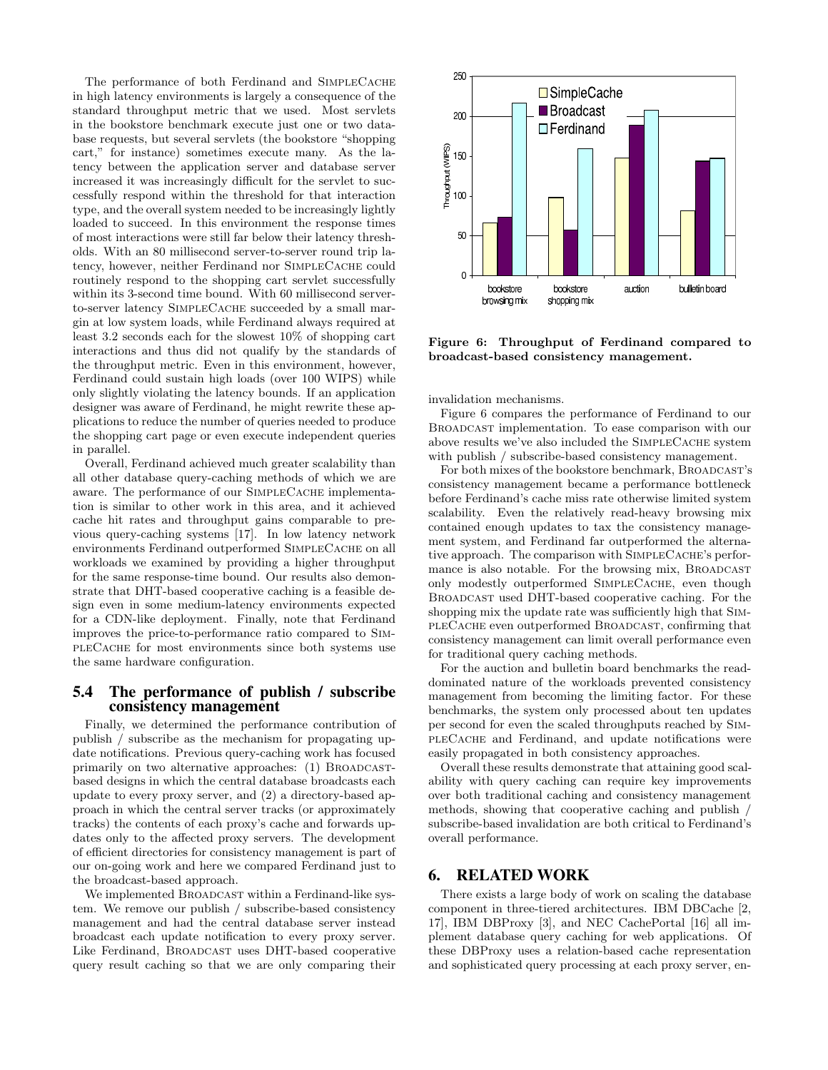The performance of both Ferdinand and SIMPLECACHE in high latency environments is largely a consequence of the standard throughput metric that we used. Most servlets in the bookstore benchmark execute just one or two database requests, but several servlets (the bookstore "shopping cart," for instance) sometimes execute many. As the latency between the application server and database server increased it was increasingly difficult for the servlet to successfully respond within the threshold for that interaction type, and the overall system needed to be increasingly lightly loaded to succeed. In this environment the response times of most interactions were still far below their latency thresholds. With an 80 millisecond server-to-server round trip latency, however, neither Ferdinand nor SIMPLECACHE could routinely respond to the shopping cart servlet successfully within its 3-second time bound. With 60 millisecond serverto-server latency SIMPLECACHE succeeded by a small margin at low system loads, while Ferdinand always required at least 3.2 seconds each for the slowest 10% of shopping cart interactions and thus did not qualify by the standards of the throughput metric. Even in this environment, however, Ferdinand could sustain high loads (over 100 WIPS) while only slightly violating the latency bounds. If an application designer was aware of Ferdinand, he might rewrite these applications to reduce the number of queries needed to produce the shopping cart page or even execute independent queries in parallel.

Overall, Ferdinand achieved much greater scalability than all other database query-caching methods of which we are aware. The performance of our SIMPLECACHE implementation is similar to other work in this area, and it achieved cache hit rates and throughput gains comparable to previous query-caching systems [17]. In low latency network environments Ferdinand outperformed SIMPLECACHE on all workloads we examined by providing a higher throughput for the same response-time bound. Our results also demonstrate that DHT-based cooperative caching is a feasible design even in some medium-latency environments expected for a CDN-like deployment. Finally, note that Ferdinand improves the price-to-performance ratio compared to SimpleCache for most environments since both systems use the same hardware configuration.

#### **5.4 The performance of publish / subscribe consistency management**

Finally, we determined the performance contribution of publish / subscribe as the mechanism for propagating update notifications. Previous query-caching work has focused primarily on two alternative approaches: (1) BROADCASTbased designs in which the central database broadcasts each update to every proxy server, and (2) a directory-based approach in which the central server tracks (or approximately tracks) the contents of each proxy's cache and forwards updates only to the affected proxy servers. The development of efficient directories for consistency management is part of our on-going work and here we compared Ferdinand just to the broadcast-based approach.

We implemented BROADCAST within a Ferdinand-like system. We remove our publish / subscribe-based consistency management and had the central database server instead broadcast each update notification to every proxy server. Like Ferdinand, BROADCAST uses DHT-based cooperative query result caching so that we are only comparing their



Figure 6: Throughput of Ferdinand compared to broadcast-based consistency management.

invalidation mechanisms.

Figure 6 compares the performance of Ferdinand to our Broadcast implementation. To ease comparison with our above results we've also included the SIMPLECACHE system with publish / subscribe-based consistency management.

For both mixes of the bookstore benchmark, BROADCAST's consistency management became a performance bottleneck before Ferdinand's cache miss rate otherwise limited system scalability. Even the relatively read-heavy browsing mix contained enough updates to tax the consistency management system, and Ferdinand far outperformed the alternative approach. The comparison with SIMPLECACHE's performance is also notable. For the browsing mix, BROADCAST only modestly outperformed SIMPLECACHE, even though Broadcast used DHT-based cooperative caching. For the shopping mix the update rate was sufficiently high that SimpleCache even outperformed Broadcast, confirming that consistency management can limit overall performance even for traditional query caching methods.

For the auction and bulletin board benchmarks the readdominated nature of the workloads prevented consistency management from becoming the limiting factor. For these benchmarks, the system only processed about ten updates per second for even the scaled throughputs reached by SimpleCache and Ferdinand, and update notifications were easily propagated in both consistency approaches.

Overall these results demonstrate that attaining good scalability with query caching can require key improvements over both traditional caching and consistency management methods, showing that cooperative caching and publish / subscribe-based invalidation are both critical to Ferdinand's overall performance.

#### **6. RELATED WORK**

There exists a large body of work on scaling the database component in three-tiered architectures. IBM DBCache [2, 17], IBM DBProxy [3], and NEC CachePortal [16] all implement database query caching for web applications. Of these DBProxy uses a relation-based cache representation and sophisticated query processing at each proxy server, en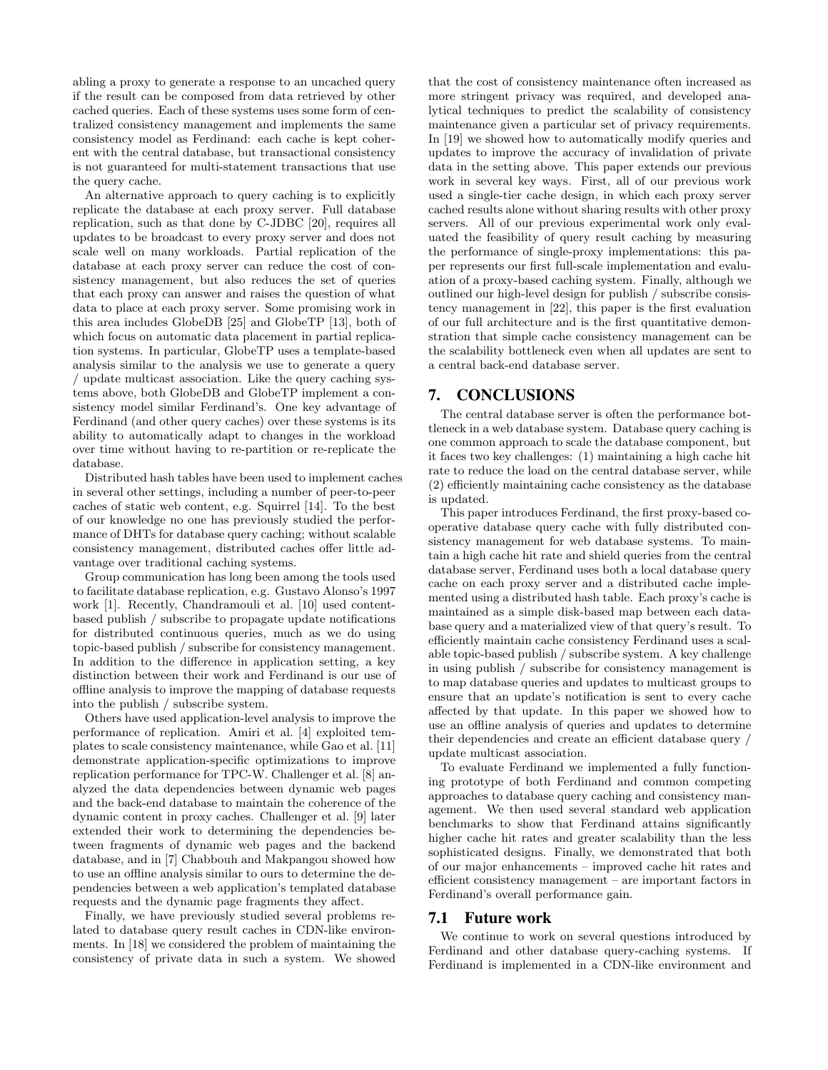abling a proxy to generate a response to an uncached query if the result can be composed from data retrieved by other cached queries. Each of these systems uses some form of centralized consistency management and implements the same consistency model as Ferdinand: each cache is kept coherent with the central database, but transactional consistency is not guaranteed for multi-statement transactions that use the query cache.

An alternative approach to query caching is to explicitly replicate the database at each proxy server. Full database replication, such as that done by C-JDBC [20], requires all updates to be broadcast to every proxy server and does not scale well on many workloads. Partial replication of the database at each proxy server can reduce the cost of consistency management, but also reduces the set of queries that each proxy can answer and raises the question of what data to place at each proxy server. Some promising work in this area includes GlobeDB [25] and GlobeTP [13], both of which focus on automatic data placement in partial replication systems. In particular, GlobeTP uses a template-based analysis similar to the analysis we use to generate a query / update multicast association. Like the query caching systems above, both GlobeDB and GlobeTP implement a consistency model similar Ferdinand's. One key advantage of Ferdinand (and other query caches) over these systems is its ability to automatically adapt to changes in the workload over time without having to re-partition or re-replicate the database.

Distributed hash tables have been used to implement caches in several other settings, including a number of peer-to-peer caches of static web content, e.g. Squirrel [14]. To the best of our knowledge no one has previously studied the performance of DHTs for database query caching; without scalable consistency management, distributed caches offer little advantage over traditional caching systems.

Group communication has long been among the tools used to facilitate database replication, e.g. Gustavo Alonso's 1997 work [1]. Recently, Chandramouli et al. [10] used contentbased publish / subscribe to propagate update notifications for distributed continuous queries, much as we do using topic-based publish / subscribe for consistency management. In addition to the difference in application setting, a key distinction between their work and Ferdinand is our use of offline analysis to improve the mapping of database requests into the publish / subscribe system.

Others have used application-level analysis to improve the performance of replication. Amiri et al. [4] exploited templates to scale consistency maintenance, while Gao et al. [11] demonstrate application-specific optimizations to improve replication performance for TPC-W. Challenger et al. [8] analyzed the data dependencies between dynamic web pages and the back-end database to maintain the coherence of the dynamic content in proxy caches. Challenger et al. [9] later extended their work to determining the dependencies between fragments of dynamic web pages and the backend database, and in [7] Chabbouh and Makpangou showed how to use an offline analysis similar to ours to determine the dependencies between a web application's templated database requests and the dynamic page fragments they affect.

Finally, we have previously studied several problems related to database query result caches in CDN-like environments. In [18] we considered the problem of maintaining the consistency of private data in such a system. We showed that the cost of consistency maintenance often increased as more stringent privacy was required, and developed analytical techniques to predict the scalability of consistency maintenance given a particular set of privacy requirements. In [19] we showed how to automatically modify queries and updates to improve the accuracy of invalidation of private data in the setting above. This paper extends our previous work in several key ways. First, all of our previous work used a single-tier cache design, in which each proxy server cached results alone without sharing results with other proxy servers. All of our previous experimental work only evaluated the feasibility of query result caching by measuring the performance of single-proxy implementations: this paper represents our first full-scale implementation and evaluation of a proxy-based caching system. Finally, although we outlined our high-level design for publish / subscribe consistency management in [22], this paper is the first evaluation of our full architecture and is the first quantitative demonstration that simple cache consistency management can be the scalability bottleneck even when all updates are sent to a central back-end database server.

#### **7. CONCLUSIONS**

The central database server is often the performance bottleneck in a web database system. Database query caching is one common approach to scale the database component, but it faces two key challenges: (1) maintaining a high cache hit rate to reduce the load on the central database server, while (2) efficiently maintaining cache consistency as the database is updated.

This paper introduces Ferdinand, the first proxy-based cooperative database query cache with fully distributed consistency management for web database systems. To maintain a high cache hit rate and shield queries from the central database server, Ferdinand uses both a local database query cache on each proxy server and a distributed cache implemented using a distributed hash table. Each proxy's cache is maintained as a simple disk-based map between each database query and a materialized view of that query's result. To efficiently maintain cache consistency Ferdinand uses a scalable topic-based publish / subscribe system. A key challenge in using publish / subscribe for consistency management is to map database queries and updates to multicast groups to ensure that an update's notification is sent to every cache affected by that update. In this paper we showed how to use an offline analysis of queries and updates to determine their dependencies and create an efficient database query / update multicast association.

To evaluate Ferdinand we implemented a fully functioning prototype of both Ferdinand and common competing approaches to database query caching and consistency management. We then used several standard web application benchmarks to show that Ferdinand attains significantly higher cache hit rates and greater scalability than the less sophisticated designs. Finally, we demonstrated that both of our major enhancements – improved cache hit rates and efficient consistency management – are important factors in Ferdinand's overall performance gain.

#### **7.1 Future work**

We continue to work on several questions introduced by Ferdinand and other database query-caching systems. If Ferdinand is implemented in a CDN-like environment and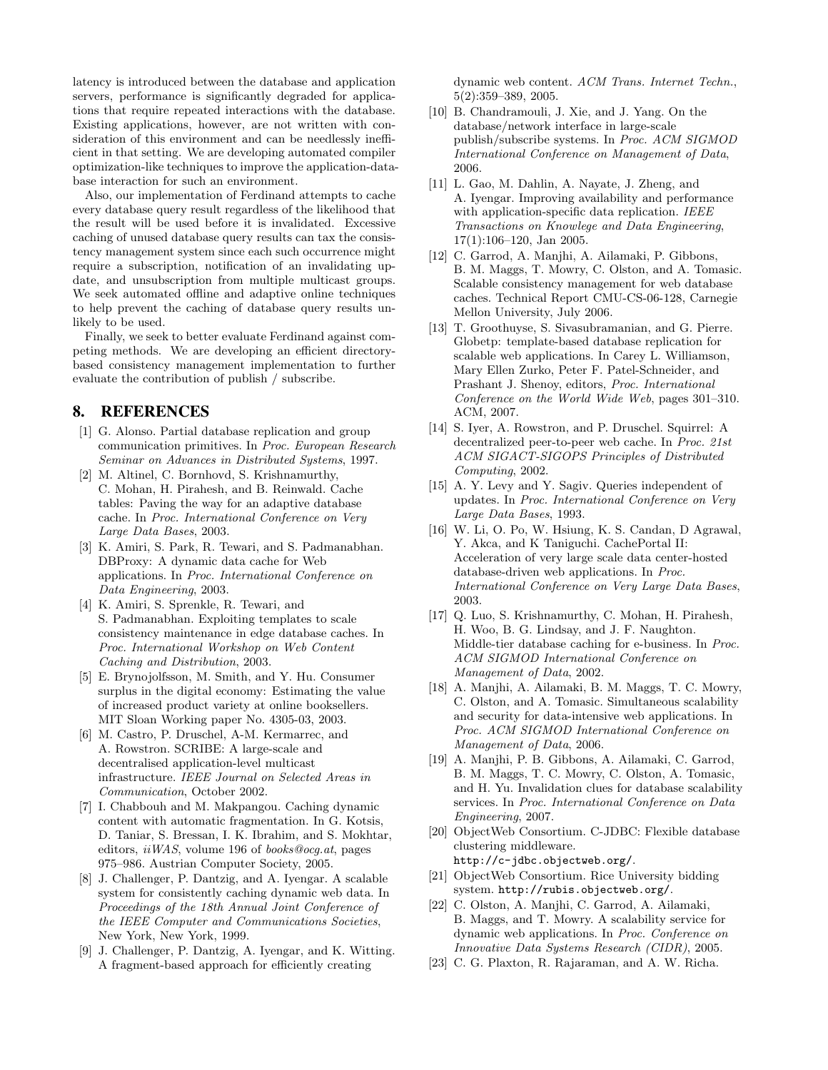latency is introduced between the database and application servers, performance is significantly degraded for applications that require repeated interactions with the database. Existing applications, however, are not written with consideration of this environment and can be needlessly inefficient in that setting. We are developing automated compiler optimization-like techniques to improve the application-database interaction for such an environment.

Also, our implementation of Ferdinand attempts to cache every database query result regardless of the likelihood that the result will be used before it is invalidated. Excessive caching of unused database query results can tax the consistency management system since each such occurrence might require a subscription, notification of an invalidating update, and unsubscription from multiple multicast groups. We seek automated offline and adaptive online techniques to help prevent the caching of database query results unlikely to be used.

Finally, we seek to better evaluate Ferdinand against competing methods. We are developing an efficient directorybased consistency management implementation to further evaluate the contribution of publish / subscribe.

## **8. REFERENCES**

- [1] G. Alonso. Partial database replication and group communication primitives. In Proc. European Research Seminar on Advances in Distributed Systems, 1997.
- [2] M. Altinel, C. Bornhovd, S. Krishnamurthy, C. Mohan, H. Pirahesh, and B. Reinwald. Cache tables: Paving the way for an adaptive database cache. In Proc. International Conference on Very Large Data Bases, 2003.
- [3] K. Amiri, S. Park, R. Tewari, and S. Padmanabhan. DBProxy: A dynamic data cache for Web applications. In Proc. International Conference on Data Engineering, 2003.
- [4] K. Amiri, S. Sprenkle, R. Tewari, and S. Padmanabhan. Exploiting templates to scale consistency maintenance in edge database caches. In Proc. International Workshop on Web Content Caching and Distribution, 2003.
- [5] E. Brynojolfsson, M. Smith, and Y. Hu. Consumer surplus in the digital economy: Estimating the value of increased product variety at online booksellers. MIT Sloan Working paper No. 4305-03, 2003.
- [6] M. Castro, P. Druschel, A-M. Kermarrec, and A. Rowstron. SCRIBE: A large-scale and decentralised application-level multicast infrastructure. IEEE Journal on Selected Areas in Communication, October 2002.
- [7] I. Chabbouh and M. Makpangou. Caching dynamic content with automatic fragmentation. In G. Kotsis, D. Taniar, S. Bressan, I. K. Ibrahim, and S. Mokhtar, editors, iiWAS, volume 196 of books@ocg.at, pages 975–986. Austrian Computer Society, 2005.
- [8] J. Challenger, P. Dantzig, and A. Iyengar. A scalable system for consistently caching dynamic web data. In Proceedings of the 18th Annual Joint Conference of the IEEE Computer and Communications Societies, New York, New York, 1999.
- [9] J. Challenger, P. Dantzig, A. Iyengar, and K. Witting. A fragment-based approach for efficiently creating

dynamic web content. ACM Trans. Internet Techn., 5(2):359–389, 2005.

- [10] B. Chandramouli, J. Xie, and J. Yang. On the database/network interface in large-scale publish/subscribe systems. In Proc. ACM SIGMOD International Conference on Management of Data, 2006.
- [11] L. Gao, M. Dahlin, A. Nayate, J. Zheng, and A. Iyengar. Improving availability and performance with application-specific data replication. IEEE Transactions on Knowlege and Data Engineering, 17(1):106–120, Jan 2005.
- [12] C. Garrod, A. Manjhi, A. Ailamaki, P. Gibbons, B. M. Maggs, T. Mowry, C. Olston, and A. Tomasic. Scalable consistency management for web database caches. Technical Report CMU-CS-06-128, Carnegie Mellon University, July 2006.
- [13] T. Groothuyse, S. Sivasubramanian, and G. Pierre. Globetp: template-based database replication for scalable web applications. In Carey L. Williamson, Mary Ellen Zurko, Peter F. Patel-Schneider, and Prashant J. Shenoy, editors, Proc. International Conference on the World Wide Web, pages 301–310. ACM, 2007.
- [14] S. Iyer, A. Rowstron, and P. Druschel. Squirrel: A decentralized peer-to-peer web cache. In Proc. 21st ACM SIGACT-SIGOPS Principles of Distributed Computing, 2002.
- [15] A. Y. Levy and Y. Sagiv. Queries independent of updates. In Proc. International Conference on Very Large Data Bases, 1993.
- [16] W. Li, O. Po, W. Hsiung, K. S. Candan, D Agrawal, Y. Akca, and K Taniguchi. CachePortal II: Acceleration of very large scale data center-hosted database-driven web applications. In Proc. International Conference on Very Large Data Bases, 2003.
- [17] Q. Luo, S. Krishnamurthy, C. Mohan, H. Pirahesh, H. Woo, B. G. Lindsay, and J. F. Naughton. Middle-tier database caching for e-business. In Proc. ACM SIGMOD International Conference on Management of Data, 2002.
- [18] A. Manjhi, A. Ailamaki, B. M. Maggs, T. C. Mowry, C. Olston, and A. Tomasic. Simultaneous scalability and security for data-intensive web applications. In Proc. ACM SIGMOD International Conference on Management of Data, 2006.
- [19] A. Manjhi, P. B. Gibbons, A. Ailamaki, C. Garrod, B. M. Maggs, T. C. Mowry, C. Olston, A. Tomasic, and H. Yu. Invalidation clues for database scalability services. In Proc. International Conference on Data Engineering, 2007.
- [20] ObjectWeb Consortium. C-JDBC: Flexible database clustering middleware. http://c-jdbc.objectweb.org/.
- [21] ObjectWeb Consortium. Rice University bidding system. http://rubis.objectweb.org/.
- [22] C. Olston, A. Manjhi, C. Garrod, A. Ailamaki, B. Maggs, and T. Mowry. A scalability service for dynamic web applications. In Proc. Conference on Innovative Data Systems Research (CIDR), 2005.
- [23] C. G. Plaxton, R. Rajaraman, and A. W. Richa.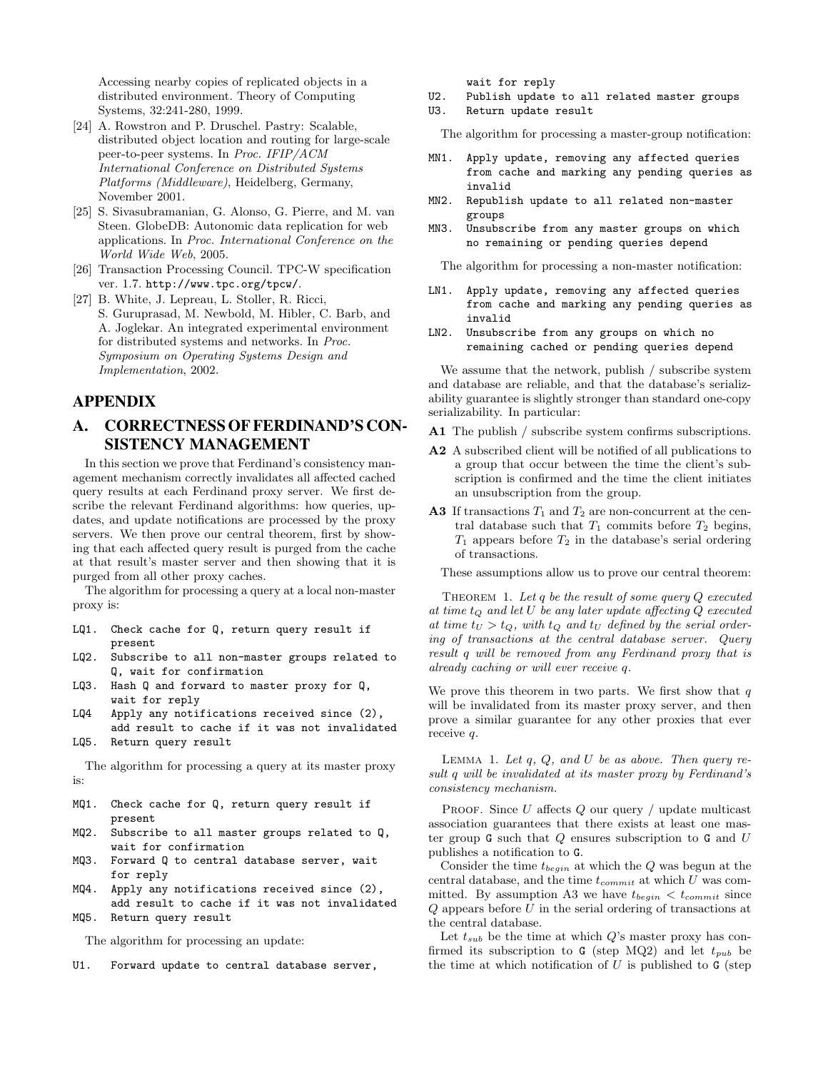Accessing nearby copies of replicated objects in a distributed environment. Theory of Computing Systems, 32:241-280, 1999.

- [24] A. Rowstron and P. Druschel. Pastry: Scalable, distributed object location and routing for large-scale peer-to-peer systems. In Proc. IFIP/ACM International Conference on Distributed Systems Platforms (Middleware), Heidelberg, Germany, November 2001.
- [25] S. Sivasubramanian, G. Alonso, G. Pierre, and M. van Steen. GlobeDB: Autonomic data replication for web applications. In Proc. International Conference on the World Wide Web, 2005.
- [26] Transaction Processing Council. TPC-W specification ver. 1.7. http://www.tpc.org/tpcw/.
- [27] B. White, J. Lepreau, L. Stoller, R. Ricci, S. Guruprasad, M. Newbold, M. Hibler, C. Barb, and A. Joglekar. An integrated experimental environment for distributed systems and networks. In Proc. Symposium on Operating Systems Design and Implementation, 2002.

## **APPENDIX**

# **A. CORRECTNESSOFFERDINAND'S CON-SISTENCY MANAGEMENT**

In this section we prove that Ferdinand's consistency management mechanism correctly invalidates all affected cached query results at each Ferdinand proxy server. We first describe the relevant Ferdinand algorithms: how queries, updates, and update notifications are processed by the proxy servers. We then prove our central theorem, first by showing that each affected query result is purged from the cache at that result's master server and then showing that it is purged from all other proxy caches.

The algorithm for processing a query at a local non-master proxy is:

- LQ1. Check cache for Q, return query result if present
- LQ2. Subscribe to all non-master groups related to Q, wait for confirmation
- LQ3. Hash Q and forward to master proxy for Q, wait for reply
- LQ4 Apply any notifications received since (2), add result to cache if it was not invalidated
- LQ5. Return query result

The algorithm for processing a query at its master proxy is:

- MQ1. Check cache for Q, return query result if present
- MQ2. Subscribe to all master groups related to Q, wait for confirmation
- MQ3. Forward Q to central database server, wait for reply
- MQ4. Apply any notifications received since (2), add result to cache if it was not invalidated MQ5. Return query result

The algorithm for processing an update:

U1. Forward update to central database server,

wait for reply

- U2. Publish update to all related master groups
- U3. Return update result

The algorithm for processing a master-group notification:

- MN1. Apply update, removing any affected queries from cache and marking any pending queries as invalid
- MN2. Republish update to all related non-master groups
- MN3. Unsubscribe from any master groups on which no remaining or pending queries depend

The algorithm for processing a non-master notification:

- LN1. Apply update, removing any affected queries from cache and marking any pending queries as invalid
- LN2. Unsubscribe from any groups on which no remaining cached or pending queries depend

We assume that the network, publish / subscribe system and database are reliable, and that the database's serializability guarantee is slightly stronger than standard one-copy serializability. In particular:

A1 The publish / subscribe system confirms subscriptions.

- A2 A subscribed client will be notified of all publications to a group that occur between the time the client's subscription is confirmed and the time the client initiates an unsubscription from the group.
- A3 If transactions  $T_1$  and  $T_2$  are non-concurrent at the central database such that  $T_1$  commits before  $T_2$  begins,  $T_1$  appears before  $T_2$  in the database's serial ordering of transactions.

These assumptions allow us to prove our central theorem:

THEOREM 1. Let  $q$  be the result of some query  $Q$  executed at time  $t_Q$  and let U be any later update affecting  $Q$  executed at time  $t_U > t_Q$ , with  $t_Q$  and  $t_U$  defined by the serial ordering of transactions at the central database server. Query result q will be removed from any Ferdinand proxy that is already caching or will ever receive q.

We prove this theorem in two parts. We first show that  $q$ will be invalidated from its master proxy server, and then prove a similar guarantee for any other proxies that ever receive q.

LEMMA 1. Let  $q$ ,  $Q$ , and  $U$  be as above. Then query result q will be invalidated at its master proxy by Ferdinand's consistency mechanism.

PROOF. Since  $U$  affects  $Q$  our query / update multicast association guarantees that there exists at least one master group  $\mathsf G$  such that  $Q$  ensures subscription to  $\mathsf G$  and  $U$ publishes a notification to G.

Consider the time  $t_{begin}$  at which the Q was begun at the central database, and the time  $t_{commit}$  at which U was committed. By assumption A3 we have  $t_{\text{beqin}} < t_{\text{commit}}$  since  $Q$  appears before  $U$  in the serial ordering of transactions at the central database.

Let  $t_{sub}$  be the time at which  $Q$ 's master proxy has confirmed its subscription to G (step MQ2) and let  $t_{pub}$  be the time at which notification of  $U$  is published to  $\mathsf{G}$  (step